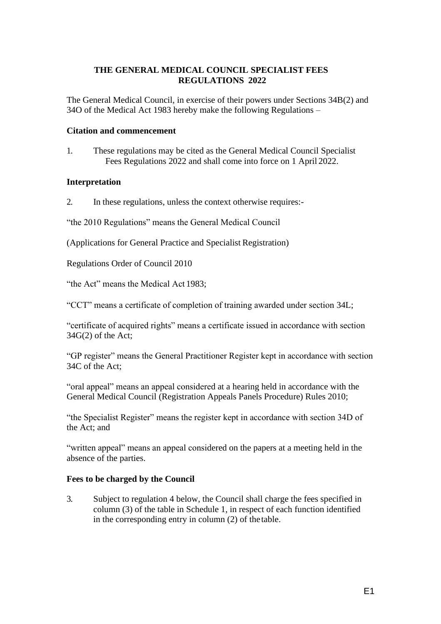#### **THE GENERAL MEDICAL COUNCIL SPECIALIST FEES REGULATIONS 2022**

The General Medical Council, in exercise of their powers under Sections 34B(2) and 34O of the Medical Act 1983 hereby make the following Regulations –

#### **Citation and commencement**

1. These regulations may be cited as the General Medical Council Specialist Fees Regulations 2022 and shall come into force on 1 April 2022.

#### **Interpretation**

2. In these regulations, unless the context otherwise requires:-

"the 2010 Regulations" means the General Medical Council

(Applications for General Practice and Specialist Registration)

Regulations Order of Council 2010

"the Act" means the Medical Act 1983;

"CCT" means a certificate of completion of training awarded under section 34L;

"certificate of acquired rights" means a certificate issued in accordance with section 34G(2) of the Act;

"GP register" means the General Practitioner Register kept in accordance with section 34C of the Act;

"oral appeal" means an appeal considered at a hearing held in accordance with the General Medical Council (Registration Appeals Panels Procedure) Rules 2010;

"the Specialist Register" means the register kept in accordance with section 34D of the Act; and

"written appeal" means an appeal considered on the papers at a meeting held in the absence of the parties.

## **Fees to be charged by the Council**

3. Subject to regulation 4 below, the Council shall charge the fees specified in column (3) of the table in Schedule 1, in respect of each function identified in the corresponding entry in column (2) of the table.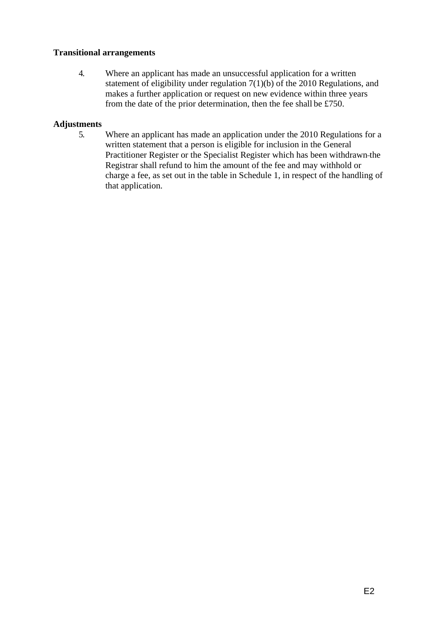#### **Transitional arrangements**

4. Where an applicant has made an unsuccessful application for a written statement of eligibility under regulation 7(1)(b) of the 2010 Regulations, and makes a further application or request on new evidence within three years from the date of the prior determination, then the fee shall be £750.

#### **Adjustments**

5. Where an applicant has made an application under the 2010 Regulations for a written statement that a person is eligible for inclusion in the General Practitioner Register or the Specialist Register which has been withdrawn the Registrar shall refund to him the amount of the fee and may withhold or charge a fee, as set out in the table in Schedule 1, in respect of the handling of that application.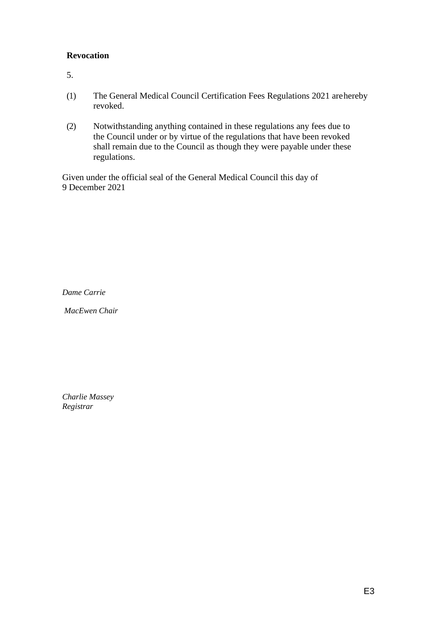## **Revocation**

5.

- (1) The General Medical Council Certification Fees Regulations 2021 are hereby revoked.
- (2) Notwithstanding anything contained in these regulations any fees due to the Council under or by virtue of the regulations that have been revoked shall remain due to the Council as though they were payable under these regulations.

Given under the official seal of the General Medical Council this day of 9 December 2021

*Dame Carrie* 

*MacEwen Chair*

*Charlie Massey Registrar*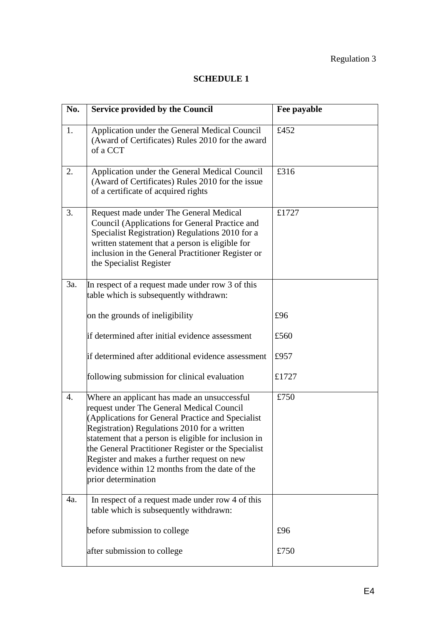# Regulation 3

# **SCHEDULE 1**

| No. | <b>Service provided by the Council</b>                                                                                                                                                                                                                                                                                                                                                                                               | Fee payable |
|-----|--------------------------------------------------------------------------------------------------------------------------------------------------------------------------------------------------------------------------------------------------------------------------------------------------------------------------------------------------------------------------------------------------------------------------------------|-------------|
| 1.  | Application under the General Medical Council<br>(Award of Certificates) Rules 2010 for the award<br>of a CCT                                                                                                                                                                                                                                                                                                                        | £452        |
| 2.  | Application under the General Medical Council<br>(Award of Certificates) Rules 2010 for the issue<br>of a certificate of acquired rights                                                                                                                                                                                                                                                                                             | £316        |
| 3.  | Request made under The General Medical<br>Council (Applications for General Practice and<br>Specialist Registration) Regulations 2010 for a<br>written statement that a person is eligible for<br>inclusion in the General Practitioner Register or<br>the Specialist Register                                                                                                                                                       | £1727       |
| 3a. | In respect of a request made under row 3 of this<br>table which is subsequently withdrawn:                                                                                                                                                                                                                                                                                                                                           |             |
|     | on the grounds of ineligibility                                                                                                                                                                                                                                                                                                                                                                                                      | £96         |
|     | if determined after initial evidence assessment                                                                                                                                                                                                                                                                                                                                                                                      | £560        |
|     | if determined after additional evidence assessment                                                                                                                                                                                                                                                                                                                                                                                   | £957        |
|     | following submission for clinical evaluation                                                                                                                                                                                                                                                                                                                                                                                         | £1727       |
| 4.  | Where an applicant has made an unsuccessful<br>request under The General Medical Council<br>(Applications for General Practice and Specialist<br>Registration) Regulations 2010 for a written<br>statement that a person is eligible for inclusion in<br>the General Practitioner Register or the Specialist<br>Register and makes a further request on new<br>evidence within 12 months from the date of the<br>prior determination | £750        |
| 4a. | In respect of a request made under row 4 of this<br>table which is subsequently withdrawn:                                                                                                                                                                                                                                                                                                                                           |             |
|     | before submission to college                                                                                                                                                                                                                                                                                                                                                                                                         | £96         |
|     | after submission to college                                                                                                                                                                                                                                                                                                                                                                                                          | £750        |